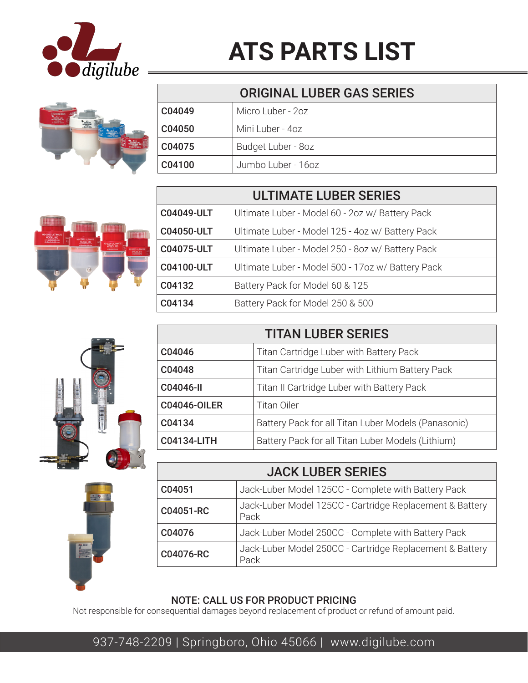

## **ATS PARTS LIST**



| <b>ORIGINAL LUBER GAS SERIES</b> |                    |
|----------------------------------|--------------------|
| C04049                           | Micro Luber - 2oz  |
| C04050                           | Mini Luber - 4oz   |
| C04075                           | Budget Luber - 8oz |
| C04100                           | Jumbo Luber - 16oz |



| <b>ULTIMATE LUBER SERIES</b> |                                                   |
|------------------------------|---------------------------------------------------|
| <b>C04049-ULT</b>            | Ultimate Luber - Model 60 - 2oz w/ Battery Pack   |
| <b>C04050-ULT</b>            | Ultimate Luber - Model 125 - 4oz w/ Battery Pack  |
| <b>C04075-ULT</b>            | Ultimate Luber - Model 250 - 8oz w/ Battery Pack  |
| <b>C04100-ULT</b>            | Ultimate Luber - Model 500 - 17oz w/ Battery Pack |
| C04132                       | Battery Pack for Model 60 & 125                   |
| C04134                       | Battery Pack for Model 250 & 500                  |



| <b>TITAN LUBER SERIES</b> |                                                     |
|---------------------------|-----------------------------------------------------|
| C04046                    | Titan Cartridge Luber with Battery Pack             |
| C04048                    | Titan Cartridge Luber with Lithium Battery Pack     |
| C04046-II                 | Titan II Cartridge Luber with Battery Pack          |
| <b>C04046-OILER</b>       | <b>Titan Oiler</b>                                  |
| C04134                    | Battery Pack for all Titan Luber Models (Panasonic) |
| <b>C04134-LITH</b>        | Battery Pack for all Titan Luber Models (Lithium)   |

| <b>JACK LUBER SERIES</b> |                                                                  |
|--------------------------|------------------------------------------------------------------|
| C04051                   | Jack-Luber Model 125CC - Complete with Battery Pack              |
| C04051-RC                | Jack-Luber Model 125CC - Cartridge Replacement & Battery<br>Pack |
| C04076                   | Jack-Luber Model 250CC - Complete with Battery Pack              |
| C04076-RC                | Jack-Luber Model 250CC - Cartridge Replacement & Battery<br>Pack |

## NOTE: CALL US FOR PRODUCT PRICING

Not responsible for consequential damages beyond replacement of product or refund of amount paid.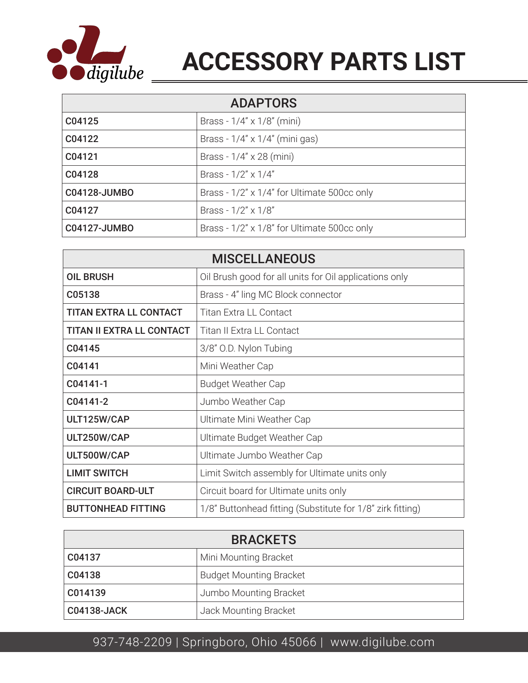

## **ACCESSORY PARTS LIST**

| <b>ADAPTORS</b>     |                                             |
|---------------------|---------------------------------------------|
| C04125              | Brass - $1/4'' \times 1/8''$ (mini)         |
| C04122              | Brass - $1/4$ " x $1/4$ " (mini gas)        |
| C04121              | Brass - 1/4" x 28 (mini)                    |
| C04128              | Brass - $1/2$ " x $1/4$ "                   |
| C04128-JUMBO        | Brass - 1/2" x 1/4" for Ultimate 500cc only |
| C04127              | Brass - $1/2$ " x $1/8$ "                   |
| <b>C04127-JUMBO</b> | Brass - 1/2" x 1/8" for Ultimate 500cc only |

| <b>MISCELLANEOUS</b>             |                                                            |
|----------------------------------|------------------------------------------------------------|
| <b>OIL BRUSH</b>                 | Oil Brush good for all units for Oil applications only     |
| C05138                           | Brass - 4" ling MC Block connector                         |
| <b>TITAN EXTRA LL CONTACT</b>    | <b>Titan Extra LL Contact</b>                              |
| <b>TITAN II EXTRA LL CONTACT</b> | Titan II Extra LL Contact                                  |
| C04145                           | 3/8" O.D. Nylon Tubing                                     |
| C04141                           | Mini Weather Cap                                           |
| C04141-1                         | <b>Budget Weather Cap</b>                                  |
| C04141-2                         | Jumbo Weather Cap                                          |
| ULT125W/CAP                      | Ultimate Mini Weather Cap                                  |
| ULT250W/CAP                      | Ultimate Budget Weather Cap                                |
| ULT500W/CAP                      | Ultimate Jumbo Weather Cap                                 |
| <b>LIMIT SWITCH</b>              | Limit Switch assembly for Ultimate units only              |
| <b>CIRCUIT BOARD-ULT</b>         | Circuit board for Ultimate units only                      |
| <b>BUTTONHEAD FITTING</b>        | 1/8" Buttonhead fitting (Substitute for 1/8" zirk fitting) |

| <b>BRACKETS</b>    |                                |
|--------------------|--------------------------------|
| C04137             | Mini Mounting Bracket          |
| C04138             | <b>Budget Mounting Bracket</b> |
| C014139            | Jumbo Mounting Bracket         |
| <b>C04138-JACK</b> | Jack Mounting Bracket          |

## 937-748-2209 | Springboro, Ohio 45066 | www.digilube.com 937-748-2209 | Springboro, Ohio 45066 | www.digilube.com